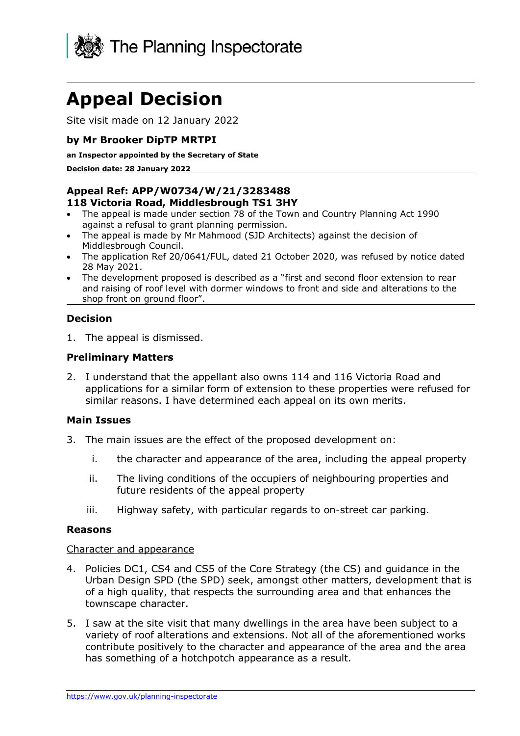

# **Appeal Decision**

Site visit made on 12 January 2022

# **by Mr Brooker DipTP MRTPI**

#### **an Inspector appointed by the Secretary of State**

**Decision date: 28 January 2022**

#### **Appeal Ref: APP/W0734/W/21/3283488 118 Victoria Road, Middlesbrough TS1 3HY**

- The appeal is made under section 78 of the Town and Country Planning Act 1990
- against a refusal to grant planning permission. • The appeal is made by Mr Mahmood (SJD Architects) against the decision of Middlesbrough Council.
- The application Ref 20/0641/FUL, dated 21 October 2020, was refused by notice dated 28 May 2021.
- The development proposed is described as a "first and second floor extension to rear and raising of roof level with dormer windows to front and side and alterations to the shop front on ground floor".

# **Decision**

1. The appeal is dismissed.

# **Preliminary Matters**

2. I understand that the appellant also owns 114 and 116 Victoria Road and applications for a similar form of extension to these properties were refused for similar reasons. I have determined each appeal on its own merits.

## **Main Issues**

- 3. The main issues are the effect of the proposed development on:
	- i. the character and appearance of the area, including the appeal property
	- ii. The living conditions of the occupiers of neighbouring properties and future residents of the appeal property
	- iii. Highway safety, with particular regards to on-street car parking.

## **Reasons**

#### Character and appearance

- 4. Policies DC1, CS4 and CS5 of the Core Strategy (the CS) and guidance in the Urban Design SPD (the SPD) seek, amongst other matters, development that is of a high quality, that respects the surrounding area and that enhances the townscape character.
- 5. I saw at the site visit that many dwellings in the area have been subject to a variety of roof alterations and extensions. Not all of the aforementioned works contribute positively to the character and appearance of the area and the area has something of a hotchpotch appearance as a result.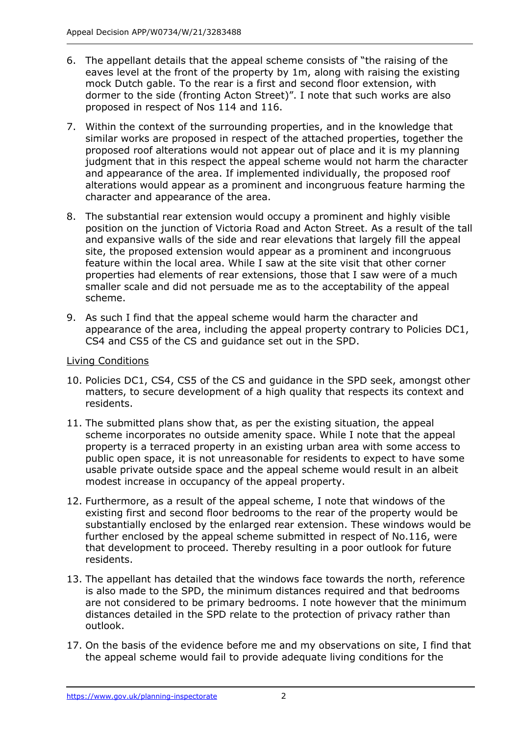- 6. The appellant details that the appeal scheme consists of "the raising of the eaves level at the front of the property by 1m, along with raising the existing mock Dutch gable. To the rear is a first and second floor extension, with dormer to the side (fronting Acton Street)". I note that such works are also proposed in respect of Nos 114 and 116.
- 7. Within the context of the surrounding properties, and in the knowledge that similar works are proposed in respect of the attached properties, together the proposed roof alterations would not appear out of place and it is my planning judgment that in this respect the appeal scheme would not harm the character and appearance of the area. If implemented individually, the proposed roof alterations would appear as a prominent and incongruous feature harming the character and appearance of the area.
- 8. The substantial rear extension would occupy a prominent and highly visible position on the junction of Victoria Road and Acton Street. As a result of the tall and expansive walls of the side and rear elevations that largely fill the appeal site, the proposed extension would appear as a prominent and incongruous feature within the local area. While I saw at the site visit that other corner properties had elements of rear extensions, those that I saw were of a much smaller scale and did not persuade me as to the acceptability of the appeal scheme.
- 9. As such I find that the appeal scheme would harm the character and appearance of the area, including the appeal property contrary to Policies DC1, CS4 and CS5 of the CS and guidance set out in the SPD.

# Living Conditions

- 10. Policies DC1, CS4, CS5 of the CS and guidance in the SPD seek, amongst other matters, to secure development of a high quality that respects its context and residents.
- 11. The submitted plans show that, as per the existing situation, the appeal scheme incorporates no outside amenity space. While I note that the appeal property is a terraced property in an existing urban area with some access to public open space, it is not unreasonable for residents to expect to have some usable private outside space and the appeal scheme would result in an albeit modest increase in occupancy of the appeal property.
- 12. Furthermore, as a result of the appeal scheme, I note that windows of the existing first and second floor bedrooms to the rear of the property would be substantially enclosed by the enlarged rear extension. These windows would be further enclosed by the appeal scheme submitted in respect of No.116, were that development to proceed. Thereby resulting in a poor outlook for future residents.
- 13. The appellant has detailed that the windows face towards the north, reference is also made to the SPD, the minimum distances required and that bedrooms are not considered to be primary bedrooms. I note however that the minimum distances detailed in the SPD relate to the protection of privacy rather than outlook.
- 17. On the basis of the evidence before me and my observations on site, I find that the appeal scheme would fail to provide adequate living conditions for the